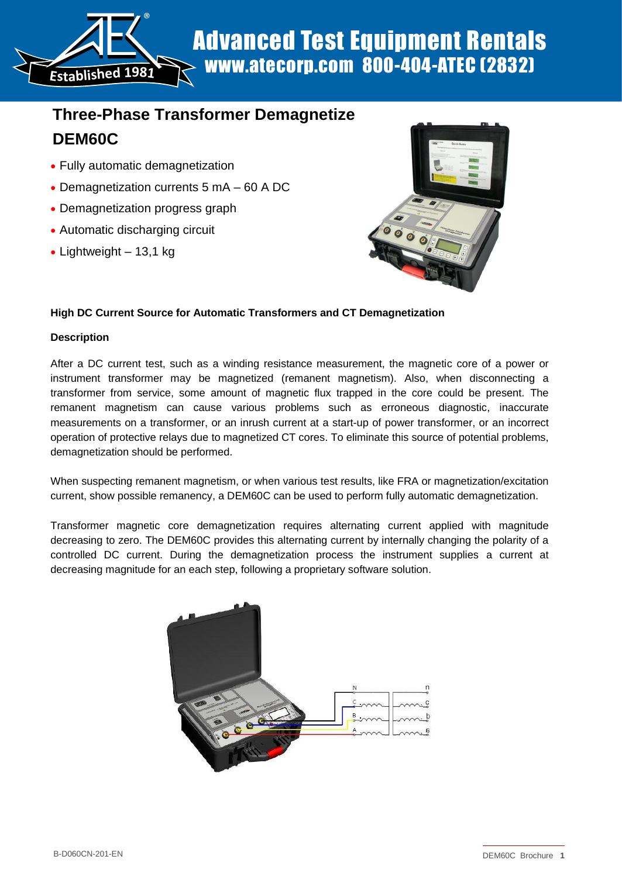Advanced Test Equipment Rentals www.atecorp.com 800-404-ATEC (2832)

# **Three-Phase Transformer Demagnetize DEM60C**

Fully automatic demagnetization

®

- Demagnetization currents 5 mA 60 A DC
- Demagnetization progress graph
- Automatic discharging circuit
- $\bullet$  Lightweight 13,1 kg



## **High DC Current Source for Automatic Transformers and CT Demagnetization**

## **Description**

**Established <sup>1</sup>981**

After a DC current test, such as a winding resistance measurement, the magnetic core of a power or instrument transformer may be magnetized (remanent magnetism). Also, when disconnecting a transformer from service, some amount of magnetic flux trapped in the core could be present. The remanent magnetism can cause various problems such as erroneous diagnostic, inaccurate measurements on a transformer, or an inrush current at a start-up of power transformer, or an incorrect operation of protective relays due to magnetized CT cores. To eliminate this source of potential problems, demagnetization should be performed.

When suspecting remanent magnetism, or when various test results, like FRA or magnetization/excitation current, show possible remanency, a DEM60C can be used to perform fully automatic demagnetization.

Transformer magnetic core demagnetization requires alternating current applied with magnitude decreasing to zero. The DEM60C provides this alternating current by internally changing the polarity of a controlled DC current. During the demagnetization process the instrument supplies a current at decreasing magnitude for an each step, following a proprietary software solution.

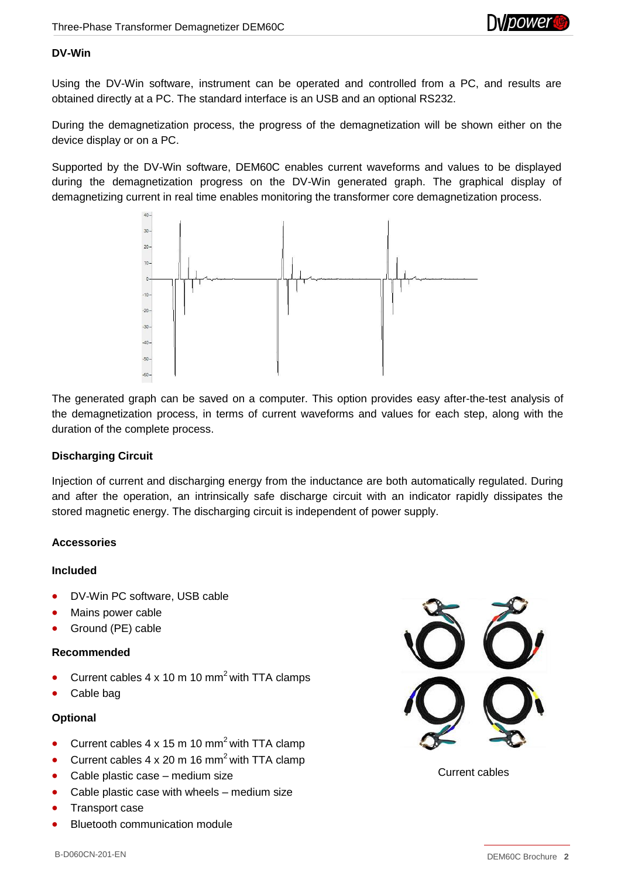

#### **DV-Win**

Using the DV-Win software, instrument can be operated and controlled from a PC, and results are obtained directly at a PC. The standard interface is an USB and an optional RS232.

During the demagnetization process, the progress of the demagnetization will be shown either on the device display or on a PC.

Supported by the DV-Win software, DEM60C enables current waveforms and values to be displayed during the demagnetization progress on the DV-Win generated graph. The graphical display of demagnetizing current in real time enables monitoring the transformer core demagnetization process.



The generated graph can be saved on a computer. This option provides easy after-the-test analysis of the demagnetization process, in terms of current waveforms and values for each step, along with the duration of the complete process.

## **Discharging Circuit**

Injection of current and discharging energy from the inductance are both automatically regulated. During and after the operation, an intrinsically safe discharge circuit with an indicator rapidly dissipates the stored magnetic energy. The discharging circuit is independent of power supply.

## **Accessories**

## **Included**

- DV-Win PC software, USB cable
- Mains power cable
- Ground (PE) cable

## **Recommended**

- Current cables  $4 \times 10 \text{ m } 10 \text{ mm}^2$  with TTA clamps
- Cable bag

## **Optional**

- Current cables  $4 \times 15$  m 10 mm<sup>2</sup> with TTA clamp
- Current cables  $4 \times 20$  m 16 mm<sup>2</sup> with TTA clamp
- Cable plastic case medium size
- Cable plastic case with wheels medium size
- Transport case
- Bluetooth communication module



Current cables